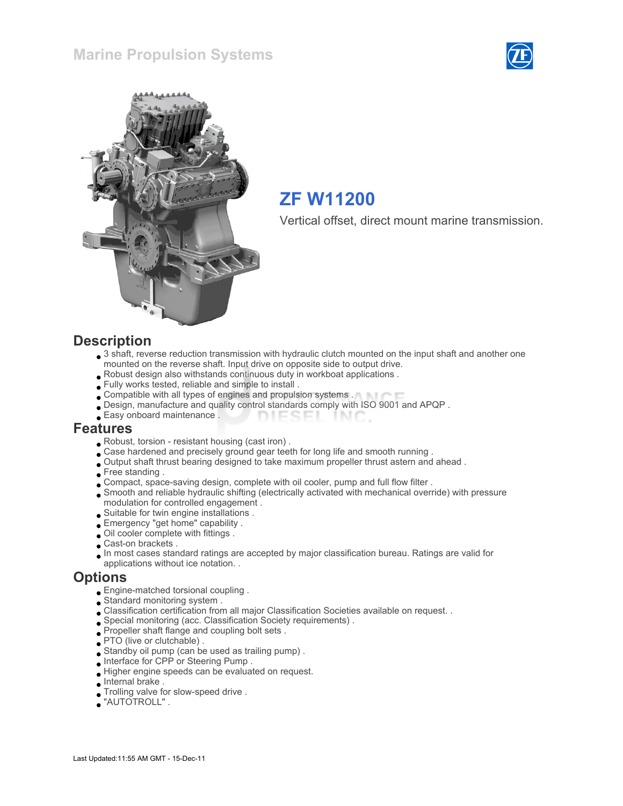



# ZF W11200

Vertical offset, direct mount marine transmission.

#### **Description**

- 3 shaft, reverse reduction transmission with hydraulic clutch mounted on the input shaft and another one mounted on the reverse shaft. Input drive on opposite side to output drive.
- Robust design also withstands continuous duty in workboat applications .
- Fully works tested, reliable and simple to install .
- Compatible with all types of engines and propulsion systems .
- Design, manufacture and quality control standards comply with ISO 9001 and APQP .
- Easy onboard maintenance . **DIESEI** INIC

#### Features

- Robust, torsion resistant housing (cast iron) .
- . Case hardened and precisely ground gear teeth for long life and smooth running .
- Output shaft thrust bearing designed to take maximum propeller thrust astern and ahead .
- Free standing .
- Compact, space-saving design, complete with oil cooler, pump and full flow filter .
- Smooth and reliable hydraulic shifting (electrically activated with mechanical override) with pressure modulation for controlled engagement .
- Suitable for twin engine installations .
- Emergency "get home" capability .
- Oil cooler complete with fittings .
- Cast-on brackets .
- In most cases standard ratings are accepted by major classification bureau. Ratings are valid for applications without ice notation. .

#### **Options**

- Engine-matched torsional coupling .
- Standard monitoring system .
- Classification certification from all major Classification Societies available on request. .
- Special monitoring (acc. Classification Society requirements) .
- Propeller shaft flange and coupling bolt sets .
- PTO (live or clutchable).
- Standby oil pump (can be used as trailing pump) .
- Interface for CPP or Steering Pump .
- Higher engine speeds can be evaluated on request.
- Internal brake .
- Trolling valve for slow-speed drive .
- "AUTOTROLL" .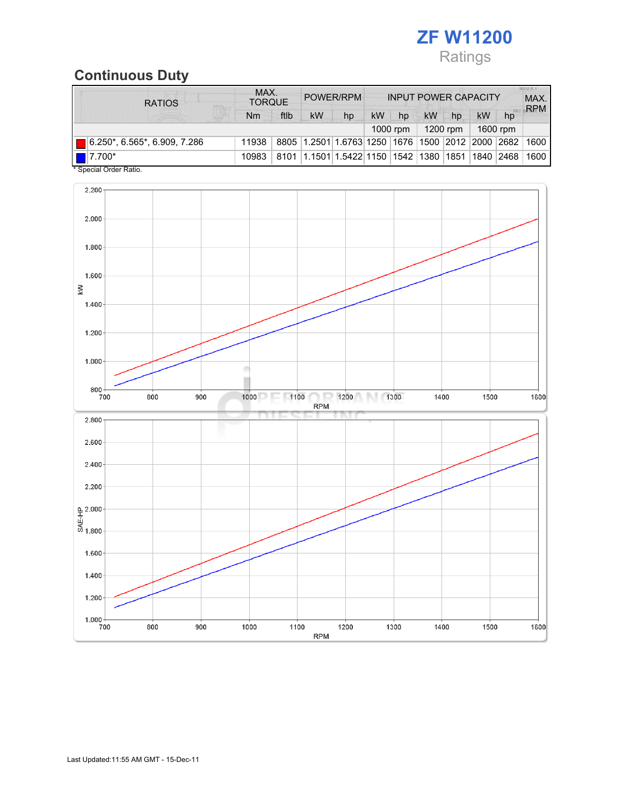

# Continuous Duty

| <b>RATIOS</b>                | MAX.<br><b>TORQUE</b> |      | POWER/RPM                                        |    | <b>INPUT POWER CAPACITY</b> |    |            |      |           | <b>MILLX T</b><br>MAX.<br><b>RPM</b> |      |
|------------------------------|-----------------------|------|--------------------------------------------------|----|-----------------------------|----|------------|------|-----------|--------------------------------------|------|
|                              | Nm                    | ftlb | kW                                               | hp | <b>kW</b>                   | hp | kW         | hp   | <b>kW</b> | hp                                   |      |
|                              |                       |      |                                                  |    |                             |    | $1200$ rpm |      | 1600 rpm  |                                      |      |
| 6.250*, 6.565*, 6.909, 7.286 | 11938                 |      | 8805 1.2501 1.6763 1250 1676 1500 2012 2000 2682 |    |                             |    |            |      |           |                                      | 1600 |
| $\blacksquare$ 7.700*        | 10983                 | 8101 | 1.1501 1.5422 1150                               |    |                             |    | 1542  1380 | 1851 | 1840      | 2468                                 | 1600 |

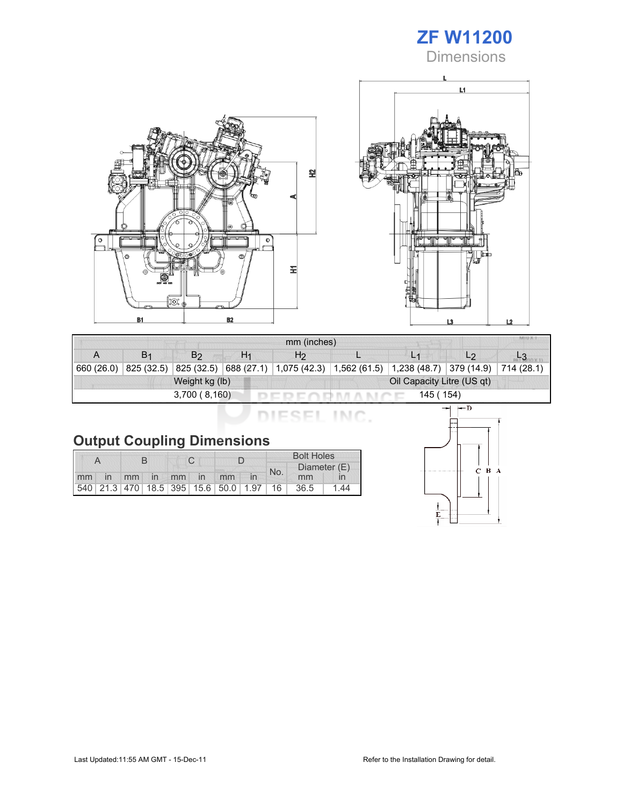# ZF W11200

**Dimensions** 





| mm (inches) |                |                |    |                                                                                 |           |  |                |  |  |  |
|-------------|----------------|----------------|----|---------------------------------------------------------------------------------|-----------|--|----------------|--|--|--|
|             | B <sub>1</sub> | B <sub>2</sub> | H1 | H <sub>2</sub>                                                                  |           |  | L <sub>2</sub> |  |  |  |
| 660 (26.0)  | 825 (32.5)     |                |    | $ 825(32.5) 688(27.1) 1,075(42.3) 1,562(61.5) 1,238(48.7) 379(14.9) 714(28.1) $ |           |  |                |  |  |  |
|             |                | Weight kg (lb) |    | Oil Capacity Litre (US qt)                                                      |           |  |                |  |  |  |
|             |                | 3,700(8,160)   |    |                                                                                 | 145 (154) |  |                |  |  |  |

DIESEL INC.

# Output Coupling Dimensions

|       |  |  |  |             | <b>Bolt Holes</b>                       |     |              |              |
|-------|--|--|--|-------------|-----------------------------------------|-----|--------------|--------------|
|       |  |  |  |             |                                         | No. | Diameter (E) |              |
| mm in |  |  |  | mm in mm in | mm                                      |     | mm           | $\mathsf{I}$ |
|       |  |  |  |             | 540 21.3 470 18.5 395 15.6 50.0 1.97 16 |     | 36.5         | 44           |